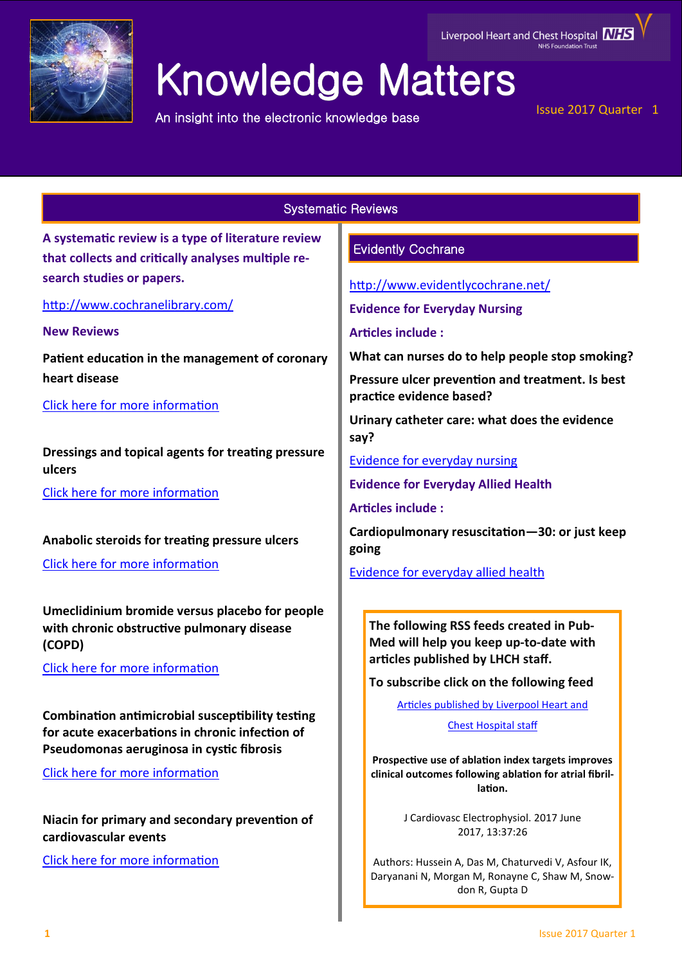

# Knowledge Matters

An insight into the electronic knowledge base

# Issue 2017 Quarter 1

# Systematic Reviews

**A systematic review is a type of literature review that collects and critically analyses multiple research studies or papers.** 

<http://www.cochranelibrary.com/>

**New Reviews**

**Patient education in the management of coronary heart disease**

[Click here for more information](http://onlinelibrary.wiley.com/doi/10.1002/14651858.CD008895.pub3/full)

**Dressings and topical agents for treating pressure ulcers**

[Click here for more information](http://onlinelibrary.wiley.com/doi/10.1002/14651858.CD011947.pub2/full)

**Anabolic steroids for treating pressure ulcers**

[Click here for more information](http://onlinelibrary.wiley.com/doi/10.1002/14651858.CD011375.pub2/full)

**Umeclidinium bromide versus placebo for people with chronic obstructive pulmonary disease (COPD)**

[Click here for more information](http://onlinelibrary.wiley.com/doi/10.1002/14651858.CD011897.pub2/full)

**Combination antimicrobial susceptibility testing for acute exacerbations in chronic infection of Pseudomonas aeruginosa in cystic fibrosis**

[Click here for more information](http://onlinelibrary.wiley.com/doi/10.1002/14651858.CD006961.pub4/full)

**Niacin for primary and secondary prevention of cardiovascular events**

[Click here for more information](http://onlinelibrary.wiley.com/doi/10.1002/14651858.CD009744.pub2/full)

# Evidently Cochrane

<http://www.evidentlycochrane.net/>

**Evidence for Everyday Nursing** 

**Articles include :**

**What can nurses do to help people stop smoking?**

**Pressure ulcer prevention and treatment. Is best practice evidence based?** 

**Urinary catheter care: what does the evidence say?** 

[Evidence for everyday nursing](http://www.evidentlycochrane.net/category/evidence-for-everyday-nursing/)

**Evidence for Everyday Allied Health** 

**Articles include :**

**Cardiopulmonary resuscitation—30: or just keep going**

[Evidence for everyday allied health](http://www.evidentlycochrane.net/category/evidence-everyday-allied-health/)

**The following RSS feeds created in Pub-Med will help you keep up-to-date with articles published by LHCH staff.**

**To subscribe click on the following feed** 

[Articles published by Liverpool Heart and](http://eutils.ncbi.nlm.nih.gov/entrez/eutils/erss.cgi?rss_guid=1jmC0p0kwOiCcrGq4UdlH-eTmaOgJ316E2QW_6DKsMnynMiQ2d) 

[Chest Hospital staff](http://eutils.ncbi.nlm.nih.gov/entrez/eutils/erss.cgi?rss_guid=1jmC0p0kwOiCcrGq4UdlH-eTmaOgJ316E2QW_6DKsMnynMiQ2d) 

**Prospective use of ablation index targets improves clinical outcomes following ablation for atrial fibrillation.**

> J Cardiovasc Electrophysiol. 2017 June 2017, 13:37:26

Authors: Hussein A, Das M, Chaturvedi V, Asfour IK, Daryanani N, Morgan M, Ronayne C, Shaw M, Snowdon R, Gupta D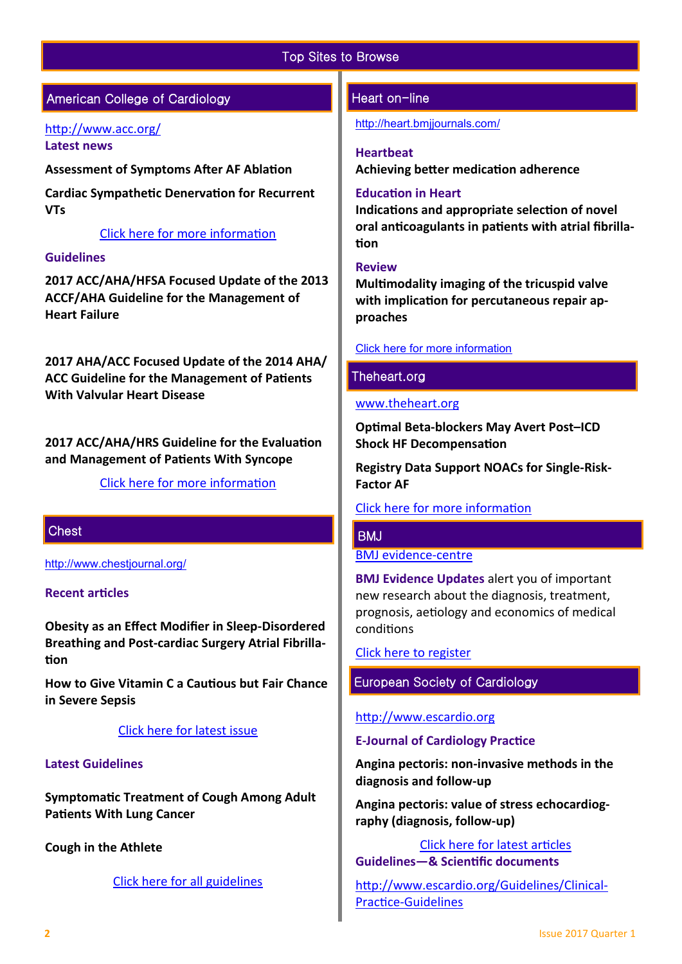# Top Sites to Browse

# American College of Cardiology

#### <http://www.acc.org/> **Latest news**

**Assessment of Symptoms After AF Ablation**

**Cardiac Sympathetic Denervation for Recurrent VTs**

### [Click here for more information](http://www.acc.org/#sort=%40fcommonsortdate86069%20descending)

### **Guidelines**

**2017 ACC/AHA/HFSA Focused Update of the 2013 ACCF/AHA Guideline for the Management of Heart Failure**

**2017 AHA/ACC Focused Update of the 2014 AHA/ ACC Guideline for the Management of Patients With Valvular Heart Disease**

**2017 ACC/AHA/HRS Guideline for the Evaluation and Management of Patients With Syncope**

[Click here for more information](http://www.acc.org/guidelines#sort=%40foriginalz32xpostedz32xdate86069%20descending&f:@fdocumentz32xtype86069_670363a472df42e3adff1c75ae78b00f=[Guidelines]http://www.acc.org/guidelines) 

# **Chest**

<http://www.chestjournal.org/>

#### **Recent articles**

**Obesity as an Effect Modifier in Sleep-Disordered Breathing and Post-cardiac Surgery Atrial Fibrillation**

**How to Give Vitamin C a Cautious but Fair Chance in Severe Sepsis**

#### [Click here for latest issue](http://journal.publications.chestnet.org/issue.aspx)

#### **Latest Guidelines**

**Symptomatic Treatment of Cough Among Adult Patients With Lung Cancer**

**Cough in the Athlete** 

[Click here for all guidelines](http://journal.publications.chestnet.org/ss/guidelines.aspx)

## Heart on-line

<http://heart.bmjjournals.com/>

#### **Heartbeat**

**Achieving better medication adherence**

### **Education in Heart**

**Indications and appropriate selection of novel oral anticoagulants in patients with atrial fibrillation**

#### **Review**

**Multimodality imaging of the tricuspid valve with implication for percutaneous repair approaches**

## [Click here for more information](http://heart.bmj.com/content/current)

# Theheart.org

#### [www.theheart.org](http://www.theheart.org/)

**Optimal Beta-blockers May Avert Post–ICD Shock HF Decompensation**

**Registry Data Support NOACs for Single-Risk-Factor AF** 

# [Click here for more information](http://www.medscape.com/cardiology?t=1)

# **BMJ**

[BMJ evidence](http://plus.mcmaster.ca/EvidenceUpdates/Default.aspx)-centre

**BMJ Evidence Updates** alert you of important new research about the diagnosis, treatment, prognosis, aetiology and economics of medical conditions

[Click here to register](http://plus.mcmaster.ca/EvidenceUpdates/Registration.aspx)

# European Society of Cardiology

#### [http://www.escardio.org](http://www.escardio.org/Pages/index.aspx)

#### **E-Journal of Cardiology Practice**

**Angina pectoris: non-invasive methods in the diagnosis and follow-up**

**Angina pectoris: value of stress echocardiography (diagnosis, follow-up)**

[Click here for latest articles](http://www.escardio.org/Journals/E-Journal-of-Cardiology-Practice) **Guidelines—& Scientific documents** 

[http://www.escardio.org/Guidelines/Clinical](http://www.escardio.org/Guidelines/Clinical-Practice-Guidelines)-Practice-[Guidelines](http://www.escardio.org/Guidelines/Clinical-Practice-Guidelines)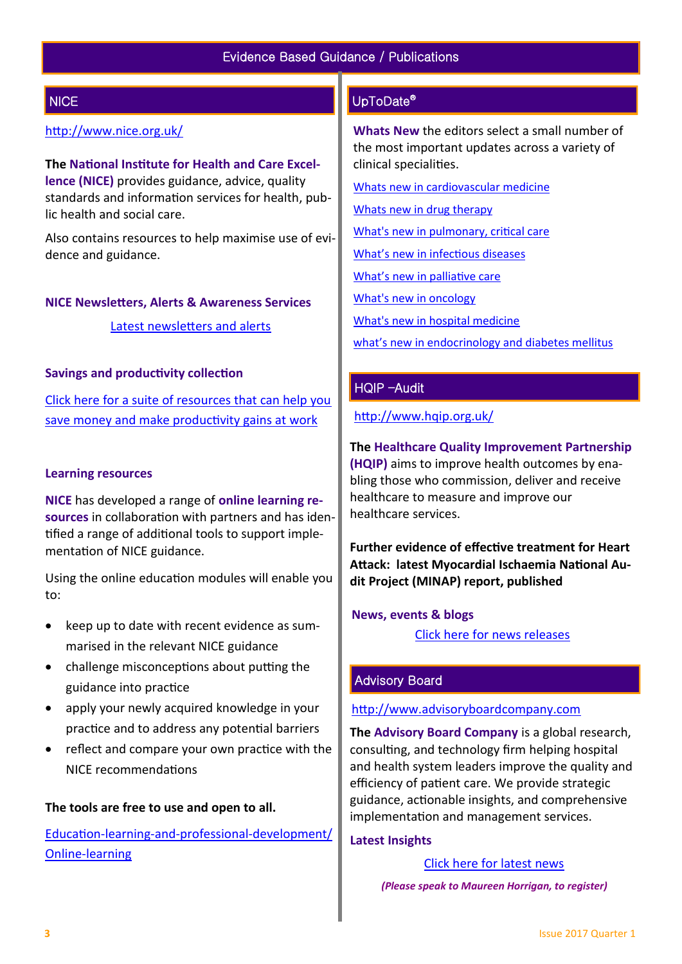# **NICE**

# <http://www.nice.org.uk/>

**The National Institute for Health and Care Excellence (NICE)** provides guidance, advice, quality standards and information services for health, public health and social care.

Also contains resources to help maximise use of evidence and guidance.

#### **NICE Newsletters, Alerts & Awareness Services**

[Latest newsletters and alerts](http://www.nice.org.uk/news/nice-newsletters-and-alerts)

#### **Savings and productivity collection**

[Click here for a suite of resources that can help you](https://www.nice.org.uk/about/What-we-do/Our-Programmes/Savings-And-Productivity-Collection)  [save money and make productivity gains at work](https://www.nice.org.uk/about/What-we-do/Our-Programmes/Savings-And-Productivity-Collection)

#### **Learning resources**

**NICE** has developed a range of **online learning resources** in collaboration with partners and has identified a range of additional tools to support implementation of NICE guidance.

Using the online education modules will enable you to:

- keep up to date with recent evidence as summarised in the relevant NICE guidance
- challenge misconceptions about putting the guidance into practice
- apply your newly acquired knowledge in your practice and to address any potential barriers
- reflect and compare your own practice with the NICE recommendations

#### **The tools are free to use and open to all.**

Education-learning-and-professional-[development/](https://www.nice.org.uk/About/What-we-do/Into-practice/Education-learning-and-professional-development/Online-learning) Online-[learning](https://www.nice.org.uk/About/What-we-do/Into-practice/Education-learning-and-professional-development/Online-learning)

# UpToDate®

**Whats New** the editors select a small number of the most important updates across a variety of clinical specialities.

[Whats new in cardiovascular medicine](http://www.uptodate.com/contents/whats-new-in-cardiovascular-medicine)

[Whats new in drug therapy](http://www.uptodate.com/contents/whats-new-in-drug-therapy)

[What's new in pulmonary, critical care](http://www.uptodate.com/contents/whats-new-in-pulmonary-critical-care-and-sleep-medicine)

[What's new in infectious diseases](http://www.uptodate.com/contents/whats-new-in-infectious-diseases)

[What's new in palliative care](http://www.uptodate.com/contents/whats-new-in-palliative-care)

[What's new in oncology](http://www.uptodate.com/contents/whats-new-in-oncology)

[What's new in hospital medicine](http://www.uptodate.com/contents/whats-new-in-hospital-medicine)

[what's new in endocrinology and diabetes mellitus](http://www.uptodate.com/contents/whats-new-in-endocrinology-and-diabetes-mellitus)

## HQIP –Audit

<http://www.hqip.org.uk/>

**The Healthcare Quality Improvement Partnership (HQIP)** aims to improve health outcomes by enabling those who commission, deliver and receive healthcare to measure and improve our healthcare services.

**Further evidence of effective treatment for Heart Attack: latest Myocardial Ischaemia National Audit Project (MINAP) report, published**

#### **News, events & blogs**

[Click here for news releases](http://www.hqip.org.uk/news-releases/)

# Advisory Board

[http://www.advisoryboardcompany.com](http://www.advisoryboardcompany.com/)

**The Advisory Board Company** is a global research, consulting, and technology firm helping hospital and health system leaders improve the quality and efficiency of patient care. We provide strategic guidance, actionable insights, and comprehensive implementation and management services.

#### **Latest Insights**

[Click here for latest news](http://www.advisory.com/International)

 *(Please speak to Maureen Horrigan, to register)*